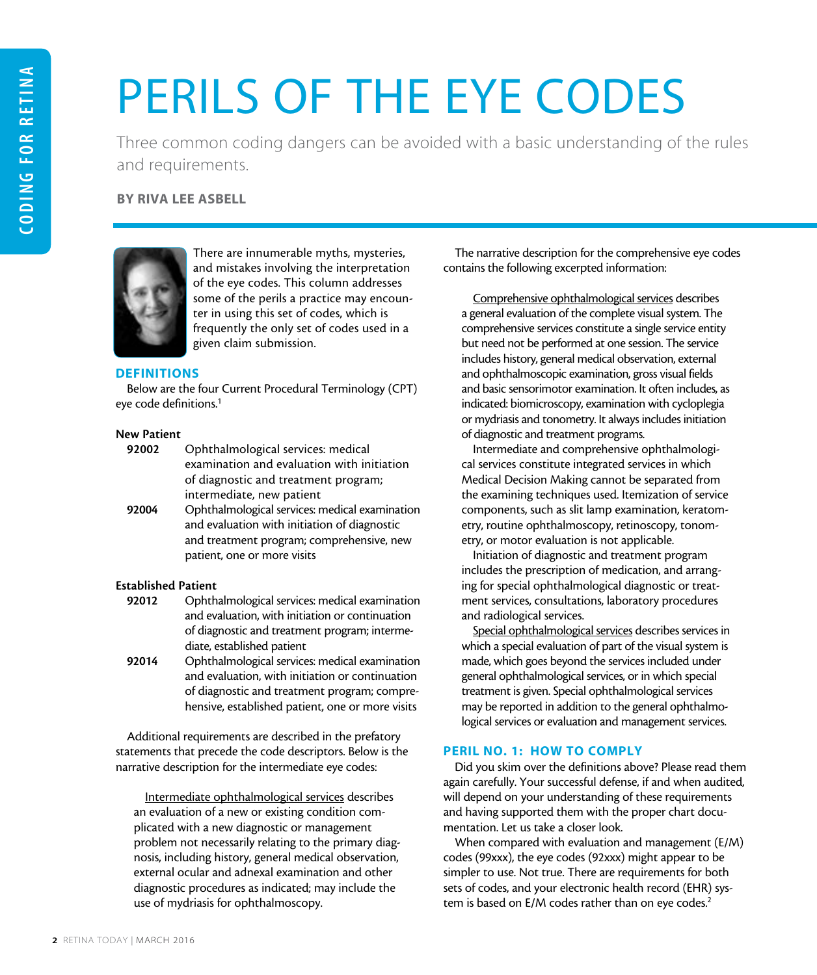# PERILS OF THE EYE CODES

Three common coding dangers can be avoided with a basic understanding of the rules and requirements.

BY RIVA LEE ASBELL



There are innumerable myths, mysteries, and mistakes involving the interpretation of the eye codes. This column addresses some of the perils a practice may encounter in using this set of codes, which is frequently the only set of codes used in a given claim submission.

# **DEFINITIONS**

Below are the four Current Procedural Terminology (CPT) eye code definitions.1

## New Patient

- 92002 Ophthalmological services: medical examination and evaluation with initiation of diagnostic and treatment program; intermediate, new patient
- 92004 Ophthalmological services: medical examination and evaluation with initiation of diagnostic and treatment program; comprehensive, new patient, one or more visits

# Established Patient

- 92012 Ophthalmological services: medical examination and evaluation, with initiation or continuation of diagnostic and treatment program; intermediate, established patient
- 92014 Ophthalmological services: medical examination and evaluation, with initiation or continuation of diagnostic and treatment program; comprehensive, established patient, one or more visits

Additional requirements are described in the prefatory statements that precede the code descriptors. Below is the narrative description for the intermediate eye codes:

Intermediate ophthalmological services describes an evaluation of a new or existing condition complicated with a new diagnostic or management problem not necessarily relating to the primary diagnosis, including history, general medical observation, external ocular and adnexal examination and other diagnostic procedures as indicated; may include the use of mydriasis for ophthalmoscopy.

The narrative description for the comprehensive eye codes contains the following excerpted information:

Comprehensive ophthalmological services describes a general evaluation of the complete visual system. The comprehensive services constitute a single service entity but need not be performed at one session. The service includes history, general medical observation, external and ophthalmoscopic examination, gross visual fields and basic sensorimotor examination. It often includes, as indicated: biomicroscopy, examination with cycloplegia or mydriasis and tonometry. It always includes initiation of diagnostic and treatment programs.

Intermediate and comprehensive ophthalmological services constitute integrated services in which Medical Decision Making cannot be separated from the examining techniques used. Itemization of service components, such as slit lamp examination, keratometry, routine ophthalmoscopy, retinoscopy, tonometry, or motor evaluation is not applicable.

Initiation of diagnostic and treatment program includes the prescription of medication, and arranging for special ophthalmological diagnostic or treatment services, consultations, laboratory procedures and radiological services.

Special ophthalmological services describes services in which a special evaluation of part of the visual system is made, which goes beyond the services included under general ophthalmological services, or in which special treatment is given. Special ophthalmological services may be reported in addition to the general ophthalmological services or evaluation and management services.

# PERIL NO. 1: HOW TO COMPLY

Did you skim over the definitions above? Please read them again carefully. Your successful defense, if and when audited, will depend on your understanding of these requirements and having supported them with the proper chart documentation. Let us take a closer look.

When compared with evaluation and management (E/M) codes (99xxx), the eye codes (92xxx) might appear to be simpler to use. Not true. There are requirements for both sets of codes, and your electronic health record (EHR) system is based on E/M codes rather than on eye codes.<sup>2</sup>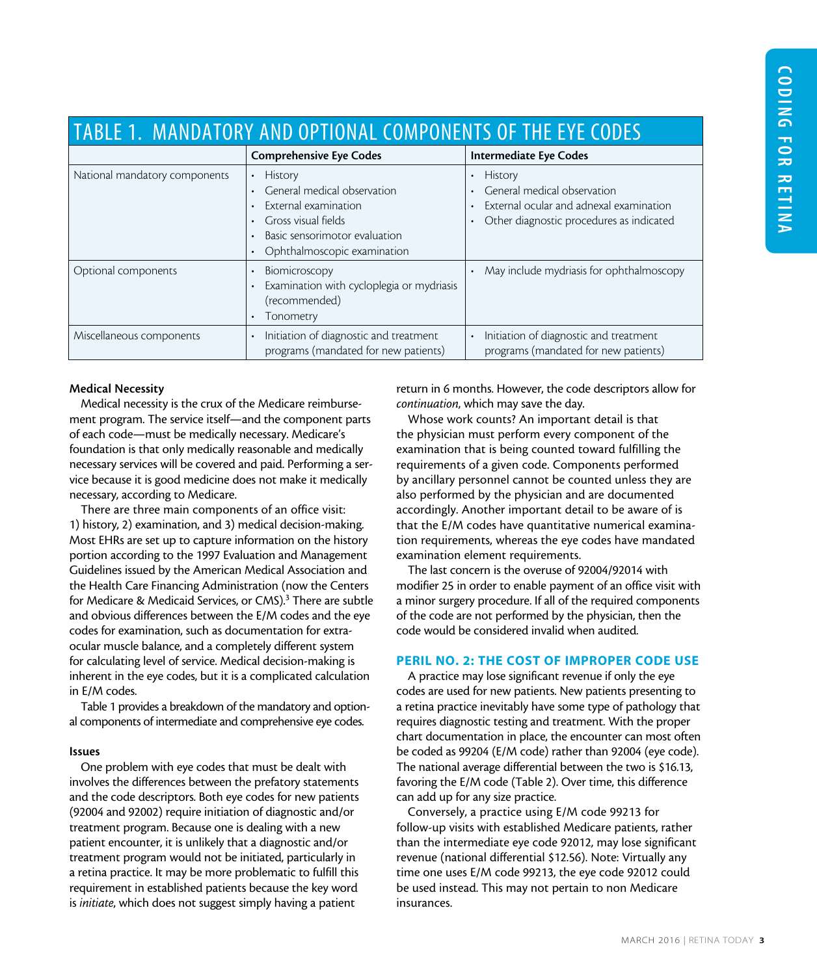| TABLE 1. MANDATORY AND OPTIONAL COMPONENTS OF THE EYE CODES |                                                                                                                                                                           |                                                                                                                                      |  |  |  |  |  |
|-------------------------------------------------------------|---------------------------------------------------------------------------------------------------------------------------------------------------------------------------|--------------------------------------------------------------------------------------------------------------------------------------|--|--|--|--|--|
|                                                             | <b>Comprehensive Eye Codes</b>                                                                                                                                            | <b>Intermediate Eye Codes</b>                                                                                                        |  |  |  |  |  |
| National mandatory components                               | <b>History</b><br>General medical observation<br>External examination<br>Gross visual fields<br>Basic sensorimotor evaluation<br>$\bullet$<br>Ophthalmoscopic examination | <b>History</b><br>General medical observation<br>External ocular and adnexal examination<br>Other diagnostic procedures as indicated |  |  |  |  |  |
| Optional components                                         | Biomicroscopy<br>Examination with cycloplegia or mydriasis<br>(recommended)<br>Tonometry                                                                                  | May include mydriasis for ophthalmoscopy                                                                                             |  |  |  |  |  |
| Miscellaneous components                                    | Initiation of diagnostic and treatment<br>programs (mandated for new patients)                                                                                            | Initiation of diagnostic and treatment<br>programs (mandated for new patients)                                                       |  |  |  |  |  |

### Medical Necessity

Medical necessity is the crux of the Medicare reimbursement program. The service itself—and the component parts of each code—must be medically necessary. Medicare's foundation is that only medically reasonable and medically necessary services will be covered and paid. Performing a service because it is good medicine does not make it medically necessary, according to Medicare.

There are three main components of an office visit: 1) history, 2) examination, and 3) medical decision-making. Most EHRs are set up to capture information on the history portion according to the 1997 Evaluation and Management Guidelines issued by the American Medical Association and the Health Care Financing Administration (now the Centers for Medicare & Medicaid Services, or CMS).<sup>3</sup> There are subtle and obvious differences between the E/M codes and the eye codes for examination, such as documentation for extraocular muscle balance, and a completely different system for calculating level of service. Medical decision-making is inherent in the eye codes, but it is a complicated calculation in E/M codes.

Table 1 provides a breakdown of the mandatory and optional components of intermediate and comprehensive eye codes.

### Issues

One problem with eye codes that must be dealt with involves the differences between the prefatory statements and the code descriptors. Both eye codes for new patients (92004 and 92002) require initiation of diagnostic and/or treatment program. Because one is dealing with a new patient encounter, it is unlikely that a diagnostic and/or treatment program would not be initiated, particularly in a retina practice. It may be more problematic to fulfill this requirement in established patients because the key word is *initiate*, which does not suggest simply having a patient

return in 6 months. However, the code descriptors allow for *continuation*, which may save the day.

Whose work counts? An important detail is that the physician must perform every component of the examination that is being counted toward fulfilling the requirements of a given code. Components performed by ancillary personnel cannot be counted unless they are also performed by the physician and are documented accordingly. Another important detail to be aware of is that the E/M codes have quantitative numerical examination requirements, whereas the eye codes have mandated examination element requirements.

The last concern is the overuse of 92004/92014 with modifier 25 in order to enable payment of an office visit with a minor surgery procedure. If all of the required components of the code are not performed by the physician, then the code would be considered invalid when audited.

### PERIL NO. 2: THE COST OF IMPROPER CODE USE

A practice may lose significant revenue if only the eye codes are used for new patients. New patients presenting to a retina practice inevitably have some type of pathology that requires diagnostic testing and treatment. With the proper chart documentation in place, the encounter can most often be coded as 99204 (E/M code) rather than 92004 (eye code). The national average differential between the two is \$16.13, favoring the E/M code (Table 2). Over time, this difference can add up for any size practice.

Conversely, a practice using E/M code 99213 for follow-up visits with established Medicare patients, rather than the intermediate eye code 92012, may lose significant revenue (national differential \$12.56). Note: Virtually any time one uses E/M code 99213, the eye code 92012 could be used instead. This may not pertain to non Medicare insurances.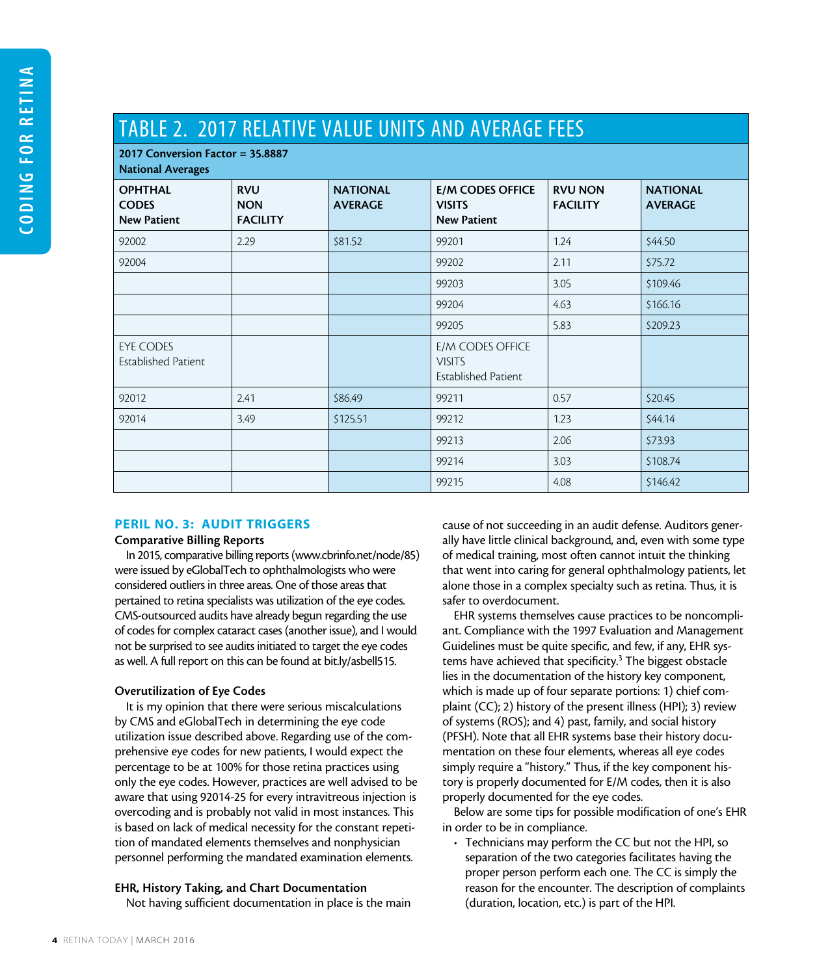# TABLE 2. 2017 RELATIVE VALUE UNITS AND AVERAGE FEES

| 2017 Conversion Factor = $35.8887$<br><b>National Averages</b> |                                             |                                   |                                                                 |                                   |                                   |  |
|----------------------------------------------------------------|---------------------------------------------|-----------------------------------|-----------------------------------------------------------------|-----------------------------------|-----------------------------------|--|
| <b>OPHTHAL</b><br><b>CODES</b><br><b>New Patient</b>           | <b>RVU</b><br><b>NON</b><br><b>FACILITY</b> | <b>NATIONAL</b><br><b>AVERAGE</b> | <b>E/M CODES OFFICE</b><br><b>VISITS</b><br><b>New Patient</b>  | <b>RVU NON</b><br><b>FACILITY</b> | <b>NATIONAL</b><br><b>AVERAGE</b> |  |
| 92002                                                          | 2.29                                        | \$81.52                           | 99201                                                           | 1.24                              | \$44.50                           |  |
| 92004                                                          |                                             |                                   | 99202                                                           | 2.11                              | \$75.72                           |  |
|                                                                |                                             |                                   | 99203                                                           | 3.05                              | \$109.46                          |  |
|                                                                |                                             |                                   | 99204                                                           | 4.63                              | \$166.16                          |  |
|                                                                |                                             |                                   | 99205                                                           | 5.83                              | \$209.23                          |  |
| EYE CODES<br><b>Established Patient</b>                        |                                             |                                   | E/M CODES OFFICE<br><b>VISITS</b><br><b>Established Patient</b> |                                   |                                   |  |
| 92012                                                          | 2.41                                        | \$86.49                           | 99211                                                           | 0.57                              | \$20.45                           |  |
| 92014                                                          | 3.49                                        | \$125.51                          | 99212                                                           | 1.23                              | \$44.14                           |  |
|                                                                |                                             |                                   | 99213                                                           | 2.06                              | \$73.93                           |  |
|                                                                |                                             |                                   | 99214                                                           | 3.03                              | \$108.74                          |  |
|                                                                |                                             |                                   | 99215                                                           | 4.08                              | \$146.42                          |  |

### PERIL NO. 3: AUDIT TRIGGERS

## Comparative Billing Reports

In 2015, comparative billing reports [\(www.cbrinfo.net/node/85\)](http://www.cbrinfo.net/node/85) were issued by eGlobalTech to ophthalmologists who were considered outliers in three areas. One of those areas that pertained to retina specialists was utilization of the eye codes. CMS-outsourced audits have already begun regarding the use of codes for complex cataract cases (another issue), and I would not be surprised to see audits initiated to target the eye codes as well. A full report on this can be found at bit.ly/asbell515.

### Overutilization of Eye Codes

It is my opinion that there were serious miscalculations by CMS and eGlobalTech in determining the eye code utilization issue described above. Regarding use of the comprehensive eye codes for new patients, I would expect the percentage to be at 100% for those retina practices using only the eye codes. However, practices are well advised to be aware that using 92014-25 for every intravitreous injection is overcoding and is probably not valid in most instances. This is based on lack of medical necessity for the constant repetition of mandated elements themselves and nonphysician personnel performing the mandated examination elements.

# EHR, History Taking, and Chart Documentation

Not having sufficient documentation in place is the main

cause of not succeeding in an audit defense. Auditors generally have little clinical background, and, even with some type of medical training, most often cannot intuit the thinking that went into caring for general ophthalmology patients, let alone those in a complex specialty such as retina. Thus, it is safer to overdocument.

EHR systems themselves cause practices to be noncompliant. Compliance with the 1997 Evaluation and Management Guidelines must be quite specific, and few, if any, EHR systems have achieved that specificity.<sup>3</sup> The biggest obstacle lies in the documentation of the history key component, which is made up of four separate portions: 1) chief complaint (CC); 2) history of the present illness (HPI); 3) review of systems (ROS); and 4) past, family, and social history (PFSH). Note that all EHR systems base their history documentation on these four elements, whereas all eye codes simply require a "history." Thus, if the key component history is properly documented for E/M codes, then it is also properly documented for the eye codes.

Below are some tips for possible modification of one's EHR in order to be in compliance.

• Technicians may perform the CC but not the HPI, so separation of the two categories facilitates having the proper person perform each one. The CC is simply the reason for the encounter. The description of complaints (duration, location, etc.) is part of the HPI.